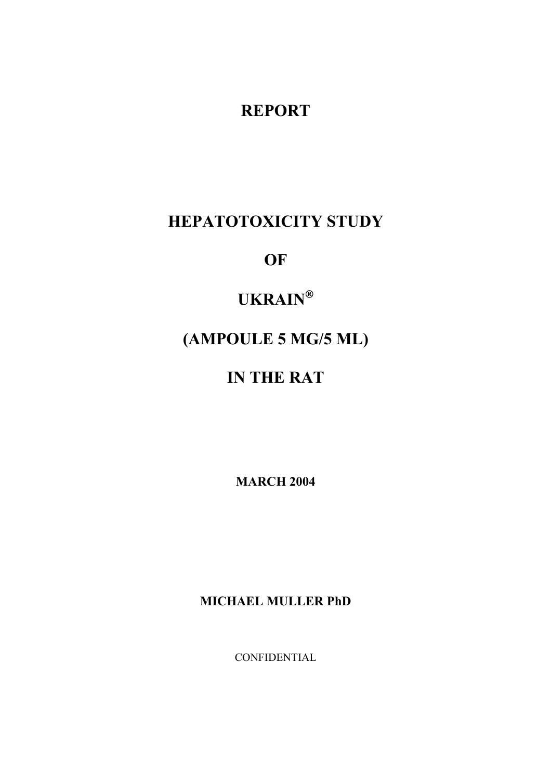# **REPORT**

# **HEPATOTOXICITY STUDY**

**OF** 

# **UKRAIN**

# **(AMPOULE 5 MG/5 ML)**

# **IN THE RAT**

**MARCH 2004** 

**MICHAEL MULLER PhD**

CONFIDENTIAL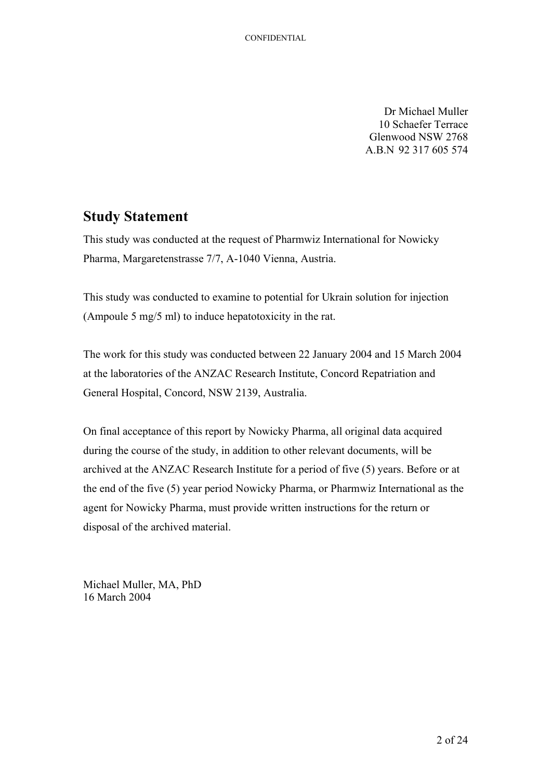Dr Michael Muller 10 Schaefer Terrace Glenwood NSW 2768 A.B.N 92 317 605 574

### <span id="page-1-0"></span>**Study Statement**

This study was conducted at the request of Pharmwiz International for Nowicky Pharma, Margaretenstrasse 7/7, A-1040 Vienna, Austria.

This study was conducted to examine to potential for Ukrain solution for injection (Ampoule 5 mg/5 ml) to induce hepatotoxicity in the rat.

The work for this study was conducted between 22 January 2004 and 15 March 2004 at the laboratories of the ANZAC Research Institute, Concord Repatriation and General Hospital, Concord, NSW 2139, Australia.

On final acceptance of this report by Nowicky Pharma, all original data acquired during the course of the study, in addition to other relevant documents, will be archived at the ANZAC Research Institute for a period of five (5) years. Before or at the end of the five (5) year period Nowicky Pharma, or Pharmwiz International as the agent for Nowicky Pharma, must provide written instructions for the return or disposal of the archived material.

Michael Muller, MA, PhD 16 March 2004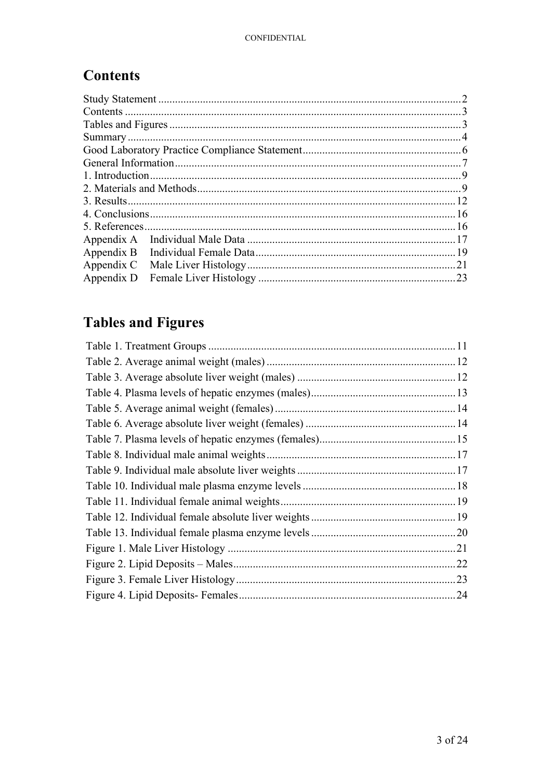# <span id="page-2-0"></span>**Contents**

| 1. Introduction. |     |
|------------------|-----|
|                  |     |
|                  |     |
|                  |     |
| 5. References.   |     |
| Appendix A       |     |
| Appendix B       |     |
| Appendix C       | .21 |
| Appendix D       | 23  |
|                  |     |

# **Tables and Figures**

| .22 |
|-----|
|     |
| .24 |
|     |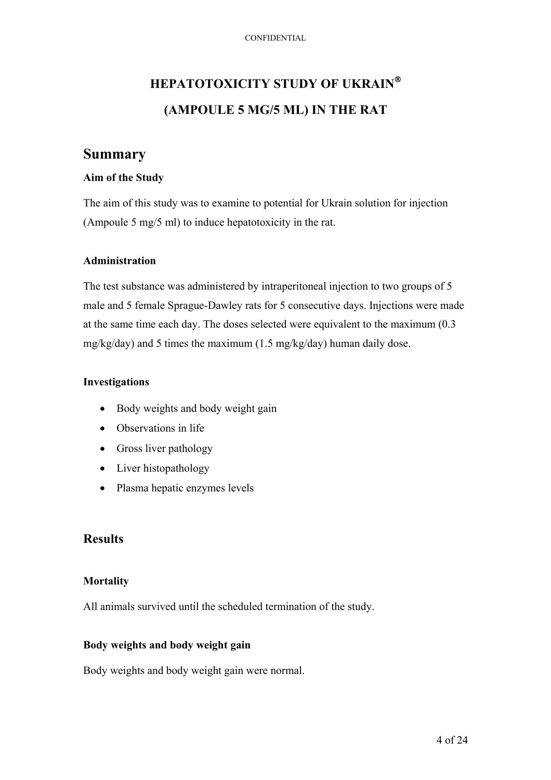# <span id="page-3-0"></span>**HEPATOTOXICITY STUDY OF UKRAIN (AMPOULE 5 MG/5 ML) IN THE RAT**

### **Summary**

#### **Aim of the Study**

The aim of this study was to examine to potential for Ukrain solution for injection (Ampoule 5 mg/5 ml) to induce hepatotoxicity in the rat.

#### **Administration**

The test substance was administered by intraperitoneal injection to two groups of 5 male and 5 female Sprague-Dawley rats for 5 consecutive days. Injections were made at the same time each day. The doses selected were equivalent to the maximum (0.3 mg/kg/day) and 5 times the maximum (1.5 mg/kg/day) human daily dose.

#### **Investigations**

- Body weights and body weight gain
- Observations in life
- Gross liver pathology
- Liver histopathology
- Plasma hepatic enzymes levels

#### **Results**

#### **Mortality**

All animals survived until the scheduled termination of the study.

#### **Body weights and body weight gain**

Body weights and body weight gain were normal.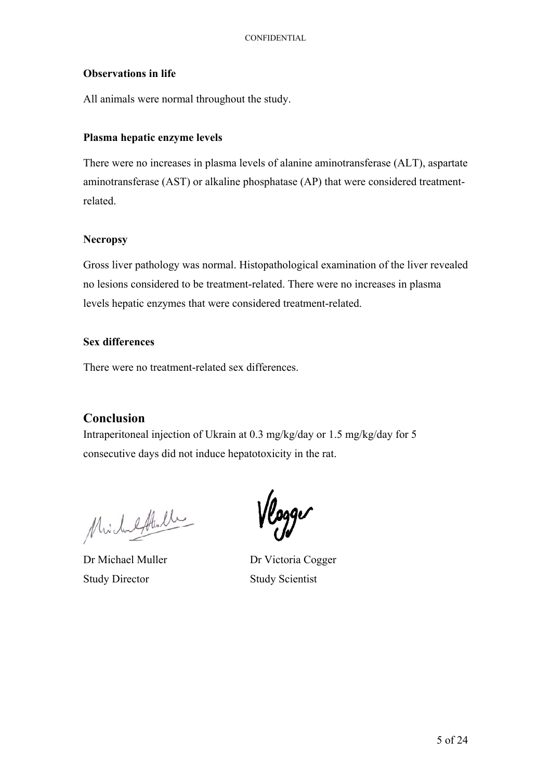#### **Observations in life**

All animals were normal throughout the study.

#### **Plasma hepatic enzyme levels**

There were no increases in plasma levels of alanine aminotransferase (ALT), aspartate aminotransferase (AST) or alkaline phosphatase (AP) that were considered treatmentrelated.

#### **Necropsy**

Gross liver pathology was normal. Histopathological examination of the liver revealed no lesions considered to be treatment-related. There were no increases in plasma levels hepatic enzymes that were considered treatment-related.

#### **Sex differences**

There were no treatment-related sex differences.

#### **Conclusion**

Intraperitoneal injection of Ukrain at 0.3 mg/kg/day or 1.5 mg/kg/day for 5 consecutive days did not induce hepatotoxicity in the rat.

Michaethall

Study Director Study Scientist

Vlogger

Dr Michael Muller Dr Victoria Cogger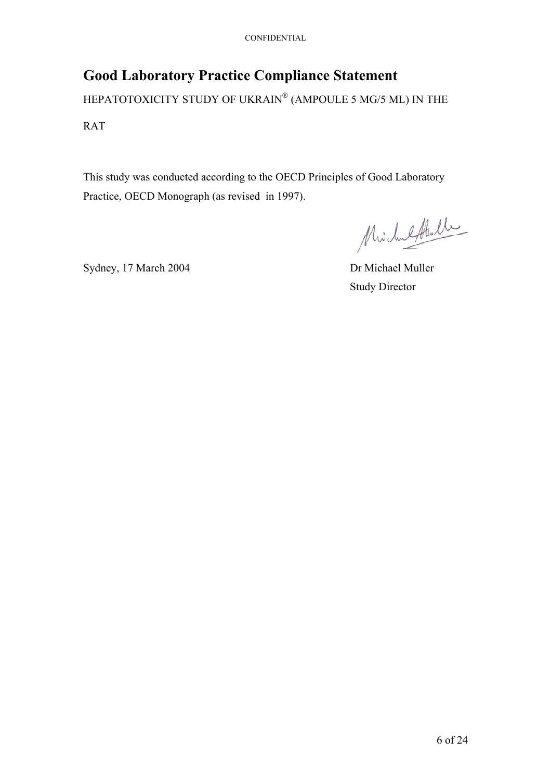# <span id="page-5-0"></span>**Good Laboratory Practice Compliance Statement**

HEPATOTOXICITY STUDY OF UKRAIN® (AMPOULE 5 MG/5 ML) IN THE RAT

This study was conducted according to the OECD Principles of Good Laboratory Practice, OECD Monograph (as revised in 1997).

Michaeltenlle

Sydney, 17 March 2004 Dr Michael Muller

Study Director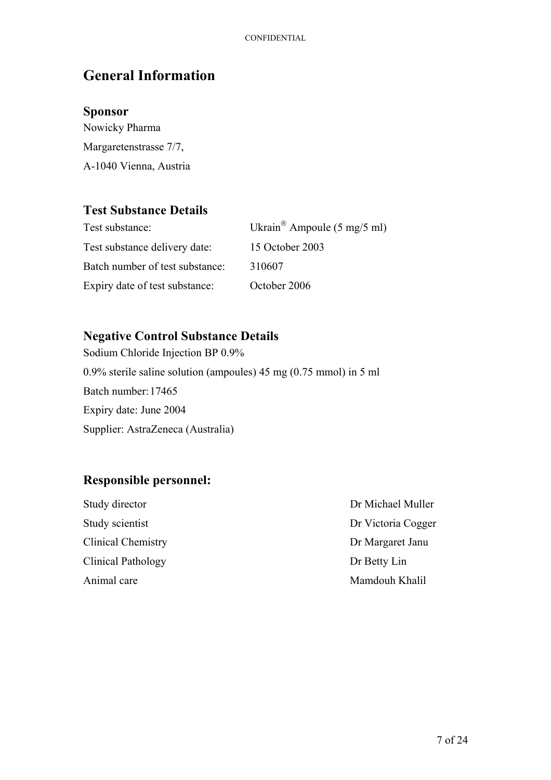# <span id="page-6-0"></span>**General Information**

### **Sponsor**

Nowicky Pharma Margaretenstrasse 7/7, A-1040 Vienna, Austria

### **Test Substance Details**

| Test substance:                 | Ukrain <sup>®</sup> Ampoule $(5 \text{ mg}/5 \text{ ml})$ |
|---------------------------------|-----------------------------------------------------------|
| Test substance delivery date:   | 15 October 2003                                           |
| Batch number of test substance: | 310607                                                    |
| Expiry date of test substance:  | October 2006                                              |

### **Negative Control Substance Details**

Sodium Chloride Injection BP 0.9% 0.9% sterile saline solution (ampoules) 45 mg (0.75 mmol) in 5 ml Batch number: 17465 Expiry date: June 2004 Supplier: AstraZeneca (Australia)

### **Responsible personnel:**

| Study director            | Dr Michael Muller  |
|---------------------------|--------------------|
| Study scientist           | Dr Victoria Cogger |
| <b>Clinical Chemistry</b> | Dr Margaret Janu   |
| Clinical Pathology        | Dr Betty Lin       |
| Animal care               | Mamdouh Khalil     |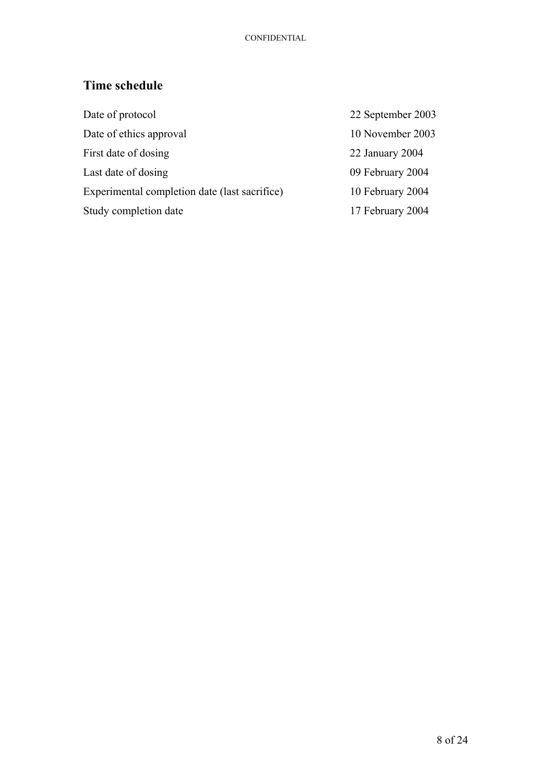## **Time schedule**

| Date of protocol                              | 22 September 2003 |
|-----------------------------------------------|-------------------|
| Date of ethics approval                       | 10 November 2003  |
| First date of dosing                          | 22 January 2004   |
| Last date of dosing                           | 09 February 2004  |
| Experimental completion date (last sacrifice) | 10 February 2004  |
| Study completion date                         | 17 February 2004  |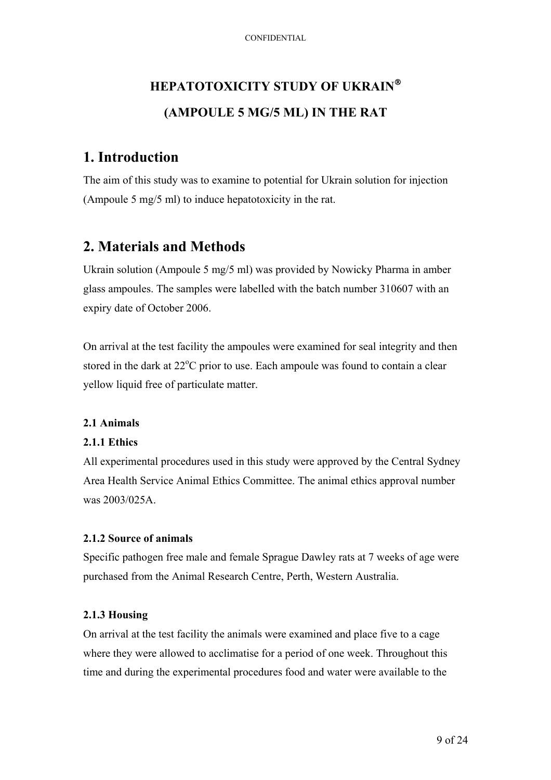# <span id="page-8-0"></span>**HEPATOTOXICITY STUDY OF UKRAIN (AMPOULE 5 MG/5 ML) IN THE RAT**

## **1. Introduction**

The aim of this study was to examine to potential for Ukrain solution for injection (Ampoule 5 mg/5 ml) to induce hepatotoxicity in the rat.

## **2. Materials and Methods**

Ukrain solution (Ampoule 5 mg/5 ml) was provided by Nowicky Pharma in amber glass ampoules. The samples were labelled with the batch number 310607 with an expiry date of October 2006.

On arrival at the test facility the ampoules were examined for seal integrity and then stored in the dark at  $22^{\circ}$ C prior to use. Each ampoule was found to contain a clear yellow liquid free of particulate matter.

### **2.1 Animals**

#### **2.1.1 Ethics**

All experimental procedures used in this study were approved by the Central Sydney Area Health Service Animal Ethics Committee. The animal ethics approval number was 2003/025A.

#### **2.1.2 Source of animals**

Specific pathogen free male and female Sprague Dawley rats at 7 weeks of age were purchased from the Animal Research Centre, Perth, Western Australia.

#### **2.1.3 Housing**

On arrival at the test facility the animals were examined and place five to a cage where they were allowed to acclimatise for a period of one week. Throughout this time and during the experimental procedures food and water were available to the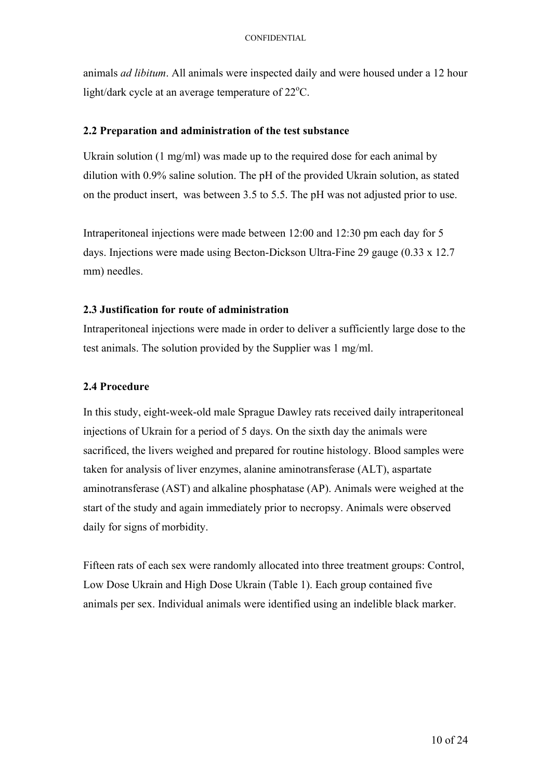animals *ad libitum*. All animals were inspected daily and were housed under a 12 hour light/dark cycle at an average temperature of  $22^{\circ}$ C.

#### **2.2 Preparation and administration of the test substance**

Ukrain solution (1 mg/ml) was made up to the required dose for each animal by dilution with 0.9% saline solution. The pH of the provided Ukrain solution, as stated on the product insert, was between 3.5 to 5.5. The pH was not adjusted prior to use.

Intraperitoneal injections were made between 12:00 and 12:30 pm each day for 5 days. Injections were made using Becton-Dickson Ultra-Fine 29 gauge (0.33 x 12.7 mm) needles.

#### **2.3 Justification for route of administration**

Intraperitoneal injections were made in order to deliver a sufficiently large dose to the test animals. The solution provided by the Supplier was 1 mg/ml.

#### **2.4 Procedure**

In this study, eight-week-old male Sprague Dawley rats received daily intraperitoneal injections of Ukrain for a period of 5 days. On the sixth day the animals were sacrificed, the livers weighed and prepared for routine histology. Blood samples were taken for analysis of liver enzymes, alanine aminotransferase (ALT), aspartate aminotransferase (AST) and alkaline phosphatase (AP). Animals were weighed at the start of the study and again immediately prior to necropsy. Animals were observed daily for signs of morbidity.

Fifteen rats of each sex were randomly allocated into three treatment groups: Control, Low Dose Ukrain and High Dose Ukrain (Table 1). Each group contained five animals per sex. Individual animals were identified using an indelible black marker.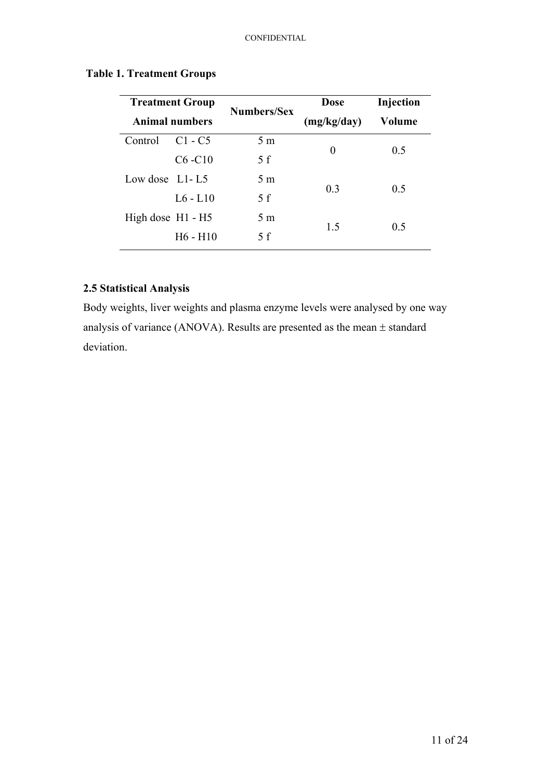| <b>Treatment Group</b><br><b>Animal numbers</b> |            | <b>Numbers/Sex</b> | <b>Dose</b>    | Injection |
|-------------------------------------------------|------------|--------------------|----------------|-----------|
|                                                 |            |                    | (mg/kg/day)    | Volume    |
| Control                                         | $C1 - C5$  | 5 <sub>m</sub>     | 0              | 0.5       |
|                                                 | $C6 - C10$ | 5f                 |                |           |
| Low dose $L1-L5$                                |            | 5 <sub>m</sub>     | 0 <sub>3</sub> | 0.5       |
|                                                 | $L6 - L10$ | 5f                 |                |           |
| High dose $H1 - H5$                             |            | 5 <sub>m</sub>     |                | 0.5       |
|                                                 | $H6 - H10$ | 5 f                | 1.5            |           |

#### <span id="page-10-0"></span>**Table 1. Treatment Groups**

#### **2.5 Statistical Analysis**

Body weights, liver weights and plasma enzyme levels were analysed by one way analysis of variance (ANOVA). Results are presented as the mean ± standard deviation.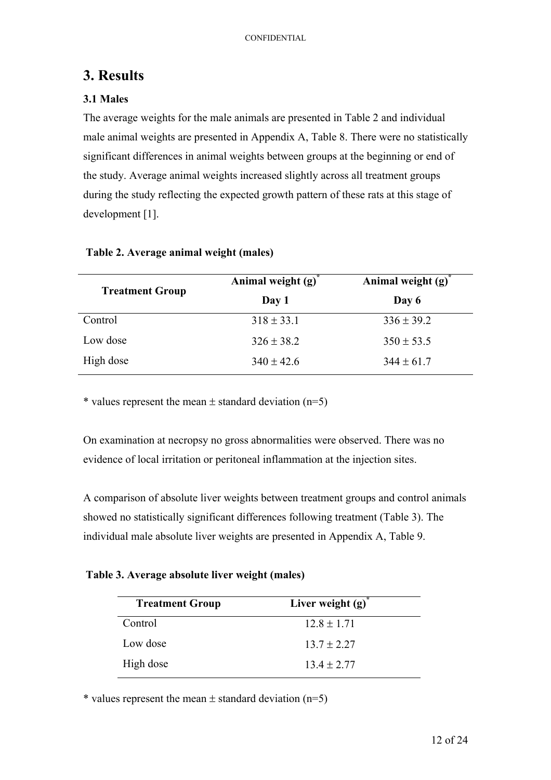## <span id="page-11-0"></span>**3. Results**

#### **3.1 Males**

The average weights for the male animals are presented in Table 2 and individual male animal weights are presented in Appendix A, Table 8. There were no statistically significant differences in animal weights between groups at the beginning or end of the study. Average animal weights increased slightly across all treatment groups during the study reflecting the expected growth pattern of these rats at this stage of development [1].

|                        | Animal weight $(g)^*$ | Animal weight $(g)$ |
|------------------------|-----------------------|---------------------|
| <b>Treatment Group</b> | Day 1                 | Day 6               |
| Control                | $318 \pm 33.1$        | $336 \pm 39.2$      |
| Low dose               | $326 \pm 38.2$        | $350 \pm 53.5$      |
| High dose              | $340 \pm 42.6$        | $344 \pm 61.7$      |

#### **Table 2. Average animal weight (males)**

\* values represent the mean  $\pm$  standard deviation (n=5)

On examination at necropsy no gross abnormalities were observed. There was no evidence of local irritation or peritoneal inflammation at the injection sites.

A comparison of absolute liver weights between treatment groups and control animals showed no statistically significant differences following treatment (Table 3). The individual male absolute liver weights are presented in Appendix A, Table 9.

**Table 3. Average absolute liver weight (males)** 

| <b>Treatment Group</b> | Liver weight $(g)$ |  |
|------------------------|--------------------|--|
| Control                | $12.8 \pm 1.71$    |  |
| Low dose               | $13.7 \pm 2.27$    |  |
| High dose              | $13.4 \pm 2.77$    |  |

\* values represent the mean  $\pm$  standard deviation (n=5)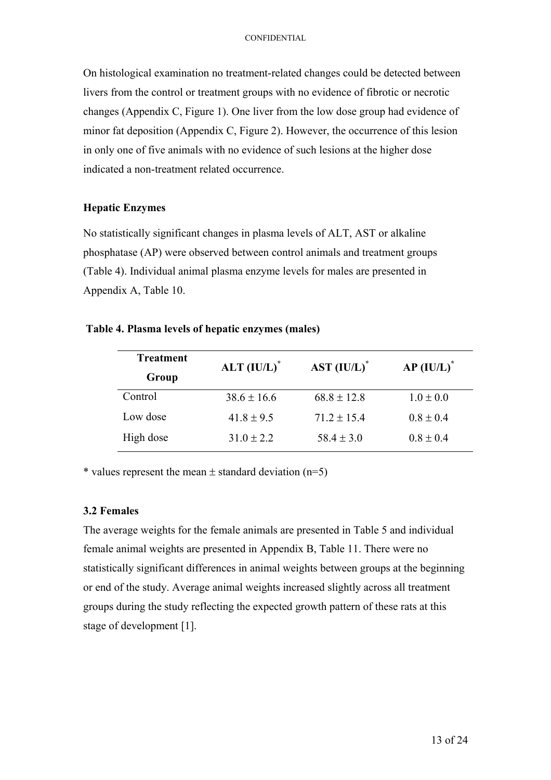<span id="page-12-0"></span>On histological examination no treatment-related changes could be detected between livers from the control or treatment groups with no evidence of fibrotic or necrotic changes (Appendix C, Figure 1). One liver from the low dose group had evidence of minor fat deposition (Appendix C, Figure 2). However, the occurrence of this lesion in only one of five animals with no evidence of such lesions at the higher dose indicated a non-treatment related occurrence.

#### **Hepatic Enzymes**

No statistically significant changes in plasma levels of ALT, AST or alkaline phosphatase (AP) were observed between control animals and treatment groups (Table 4). Individual animal plasma enzyme levels for males are presented in Appendix A, Table 10.

#### **Table 4. Plasma levels of hepatic enzymes (males)**

| <b>Treatment</b> | $ALT (IU/L)^*$  | $AST (IUL)*$    | $AP (IU/L)^*$ |  |
|------------------|-----------------|-----------------|---------------|--|
| Group            |                 |                 |               |  |
| Control          | $38.6 \pm 16.6$ | $68.8 \pm 12.8$ | $1.0 \pm 0.0$ |  |
| Low dose         | $41.8 \pm 9.5$  | $71.2 \pm 15.4$ | $0.8 \pm 0.4$ |  |
| High dose        | $31.0 \pm 2.2$  | $58.4 \pm 3.0$  | $0.8 \pm 0.4$ |  |

\* values represent the mean  $\pm$  standard deviation (n=5)

#### **3.2 Females**

The average weights for the female animals are presented in Table 5 and individual female animal weights are presented in Appendix B, Table 11. There were no statistically significant differences in animal weights between groups at the beginning or end of the study. Average animal weights increased slightly across all treatment groups during the study reflecting the expected growth pattern of these rats at this stage of development [1].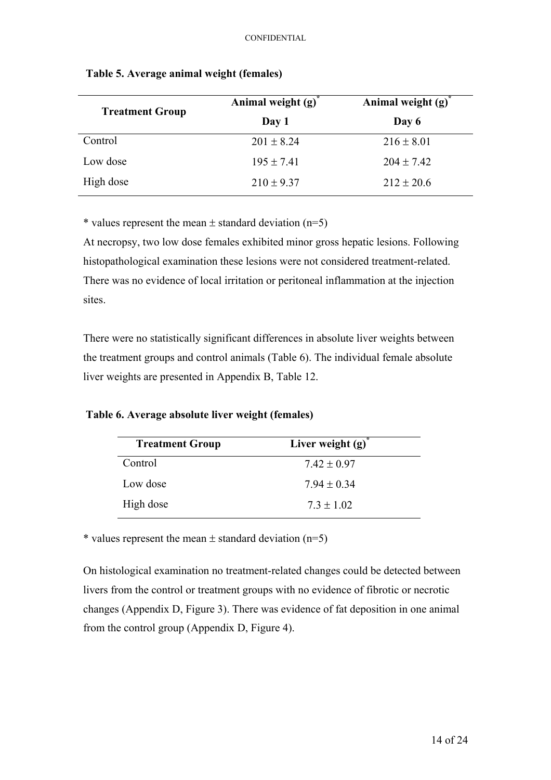| <b>Treatment Group</b> | Animal weight $(g)^{n}$ | Animal weight $(g)$ |
|------------------------|-------------------------|---------------------|
|                        | Day 1                   | Day 6               |
| Control                | $201 \pm 8.24$          | $216 \pm 8.01$      |
| Low dose               | $195 \pm 7.41$          | $204 \pm 7.42$      |
| High dose              | $210 \pm 9.37$          | $212 \pm 20.6$      |

#### <span id="page-13-0"></span>**Table 5. Average animal weight (females)**

\* values represent the mean  $\pm$  standard deviation (n=5)

At necropsy, two low dose females exhibited minor gross hepatic lesions. Following histopathological examination these lesions were not considered treatment-related. There was no evidence of local irritation or peritoneal inflammation at the injection sites.

There were no statistically significant differences in absolute liver weights between the treatment groups and control animals (Table 6). The individual female absolute liver weights are presented in Appendix B, Table 12.

**Table 6. Average absolute liver weight (females)** 

| <b>Treatment Group</b> | Liver weight $(g)$ |
|------------------------|--------------------|
| Control                | $7.42 \pm 0.97$    |
| Low dose               | $7.94 \pm 0.34$    |
| High dose              | $7.3 \pm 1.02$     |

\* values represent the mean  $\pm$  standard deviation (n=5)

On histological examination no treatment-related changes could be detected between livers from the control or treatment groups with no evidence of fibrotic or necrotic changes (Appendix D, Figure 3). There was evidence of fat deposition in one animal from the control group (Appendix D, Figure 4).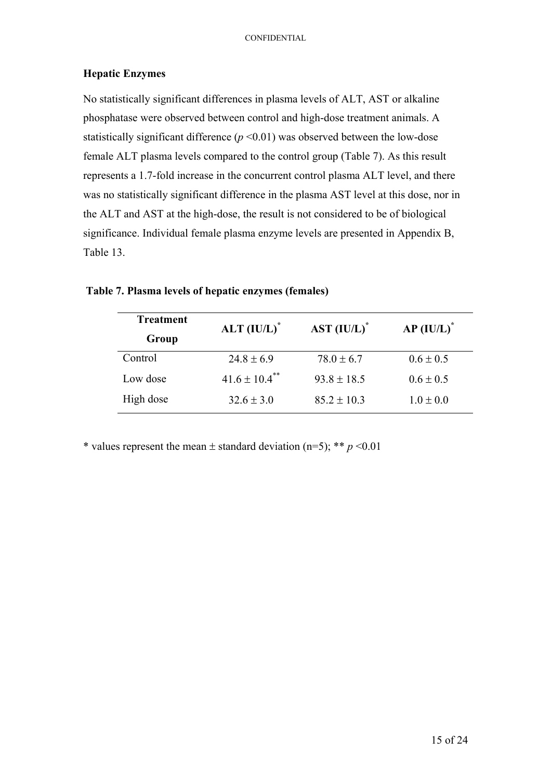#### <span id="page-14-0"></span>**Hepatic Enzymes**

No statistically significant differences in plasma levels of ALT, AST or alkaline phosphatase were observed between control and high-dose treatment animals. A statistically significant difference  $(p \le 0.01)$  was observed between the low-dose female ALT plasma levels compared to the control group (Table 7). As this result represents a 1.7-fold increase in the concurrent control plasma ALT level, and there was no statistically significant difference in the plasma AST level at this dose, nor in the ALT and AST at the high-dose, the result is not considered to be of biological significance. Individual female plasma enzyme levels are presented in Appendix B, Table 13.

| <b>Treatment</b> | $ALT (IU/L)^*$                | $AST (IUL)^*$   | $AP (IU/L)^*$ |
|------------------|-------------------------------|-----------------|---------------|
| Group            |                               |                 |               |
| Control          | $24.8 \pm 6.9$                | $78.0 \pm 6.7$  | $0.6 \pm 0.5$ |
| Low dose         | $41.6 \pm 10.4$ <sup>**</sup> | $93.8 \pm 18.5$ | $0.6 \pm 0.5$ |
| High dose        | $32.6 \pm 3.0$                | $85.2 \pm 10.3$ | $1.0 \pm 0.0$ |

#### **Table 7. Plasma levels of hepatic enzymes (females)**

\* values represent the mean  $\pm$  standard deviation (n=5); \*\* *p* <0.01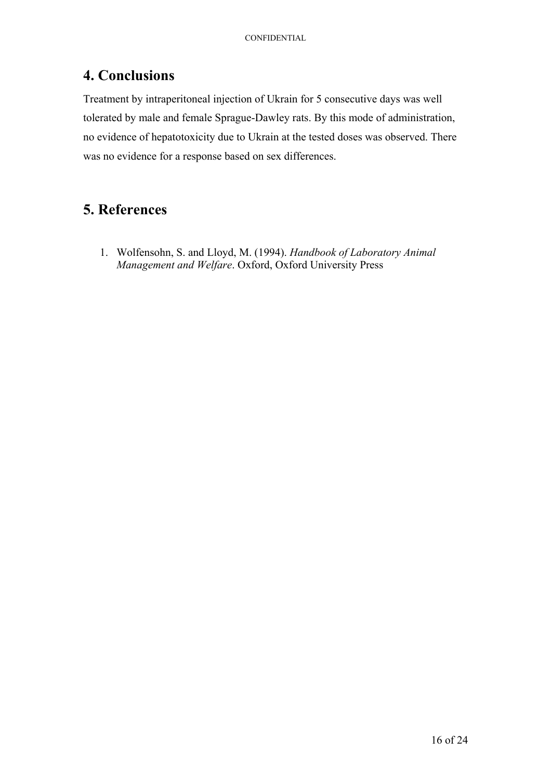## <span id="page-15-0"></span>**4. Conclusions**

Treatment by intraperitoneal injection of Ukrain for 5 consecutive days was well tolerated by male and female Sprague-Dawley rats. By this mode of administration, no evidence of hepatotoxicity due to Ukrain at the tested doses was observed. There was no evidence for a response based on sex differences.

## **5. References**

1. Wolfensohn, S. and Lloyd, M. (1994). *Handbook of Laboratory Animal Management and Welfare*. Oxford, Oxford University Press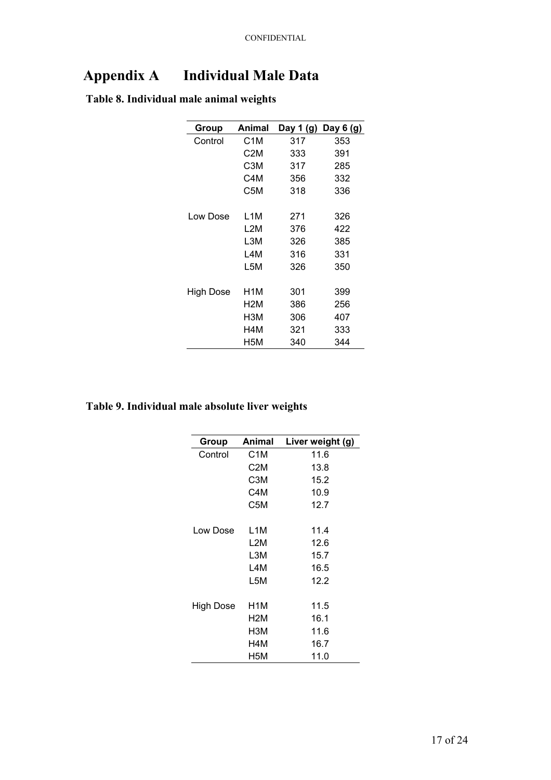# <span id="page-16-0"></span>**Appendix A Individual Male Data**

| Table 8. Individual male animal weights |
|-----------------------------------------|
|-----------------------------------------|

| Group     | Animal | Day 1 (g) | Day $6(g)$ |
|-----------|--------|-----------|------------|
| Control   | C1M    | 317       | 353        |
|           | C2M    | 333       | 391        |
|           | C3M    | 317       | 285        |
|           | C4M    | 356       | 332        |
|           | C5M    | 318       | 336        |
| Low Dose  | L1M    | 271       | 326        |
|           | L2M    | 376       | 422        |
|           | L3M    | 326       | 385        |
|           | L4M    | 316       | 331        |
|           | L5M    | 326       | 350        |
| High Dose | H1M    | 301       | 399        |
|           | H2M    | 386       | 256        |
|           | нзм    | 306       | 407        |
|           | H4M    | 321       | 333        |
|           | H5M    | 340       | 344        |

### **Table 9. Individual male absolute liver weights**

| Group     | Animal           | Liver weight (g) |
|-----------|------------------|------------------|
| Control   | C <sub>1</sub> M | 11.6             |
|           | C <sub>2</sub> M | 13.8             |
|           | C3M              | 15.2             |
|           | C4M              | 10.9             |
|           | C5M              | 12.7             |
| Low Dose  | L1M              | 11.4             |
|           | L2M              | 12.6             |
|           | L3M              | 15.7             |
|           | L4M              | 16.5             |
|           | L5M              | 12.2             |
| High Dose | H1M              | 11.5             |
|           | H2M              | 16.1             |
|           | НЗМ              | 11.6             |
|           | H4M              | 16.7             |
|           | H5M              | 11.0             |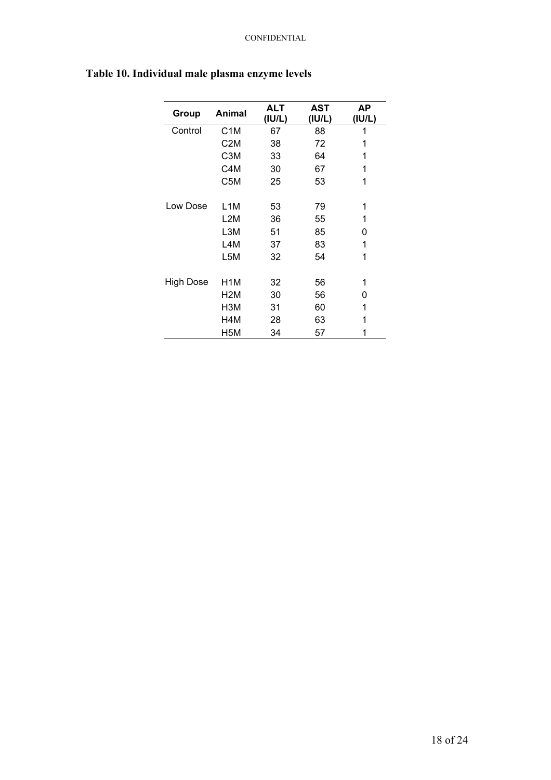| Group     | Animal           | <b>ALT</b><br>(IU/L) | <b>AST</b><br>(IU/L) | ΑP<br>(IU/L) |
|-----------|------------------|----------------------|----------------------|--------------|
| Control   | C <sub>1</sub> M | 67                   | 88                   | 1            |
|           | C <sub>2</sub> M | 38                   | 72                   | 1            |
|           | C <sub>3</sub> M | 33                   | 64                   | 1            |
|           | C4M              | 30                   | 67                   | 1            |
|           | C5M              | 25                   | 53                   | 1            |
| Low Dose  |                  |                      |                      |              |
|           | L <sub>1</sub> M | 53                   | 79                   | 1            |
|           | L2M              | 36                   | 55                   | 1            |
|           | L3M              | 51                   | 85                   | 0            |
|           | L4M              | 37                   | 83                   | 1            |
|           | L5M              | 32                   | 54                   | 1            |
|           |                  |                      |                      |              |
| High Dose | H1M              | 32                   | 56                   | 1            |
|           | H <sub>2</sub> M | 30                   | 56                   | 0            |
|           | H <sub>3</sub> M | 31                   | 60                   | 1            |
|           | H4M              | 28                   | 63                   | 1            |
|           | H5M              | 34                   | 57                   | 1            |

## <span id="page-17-0"></span>**Table 10. Individual male plasma enzyme levels**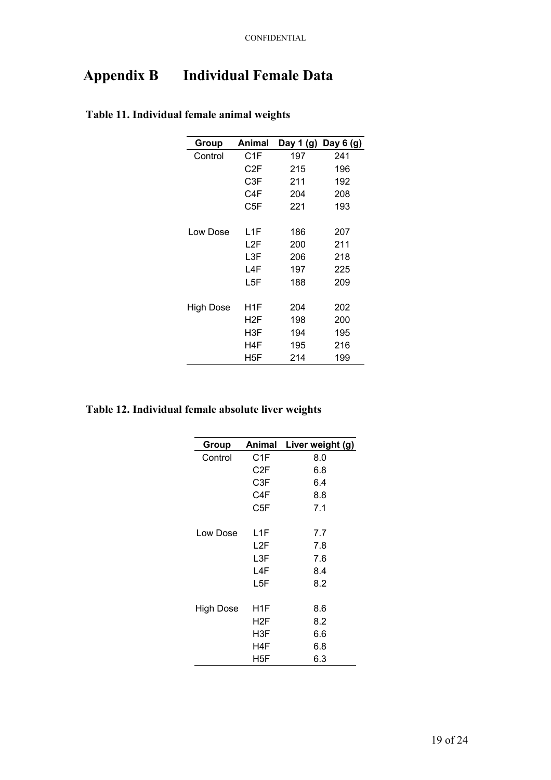# <span id="page-18-0"></span>**Appendix B Individual Female Data**

| Group     | Animal |     | Day 1 $(g)$ Day 6 $(g)$ |
|-----------|--------|-----|-------------------------|
| Control   | C1F    | 197 | 241                     |
|           | C2F    | 215 | 196                     |
|           | C3F    | 211 | 192                     |
|           | C4F    | 204 | 208                     |
|           | C5F    | 221 | 193                     |
| Low Dose  | L1F    | 186 | 207                     |
|           | L2F    | 200 | 211                     |
|           |        |     |                         |
|           | L3F    | 206 | 218                     |
|           | L4F    | 197 | 225                     |
|           | L5F    | 188 | 209                     |
|           |        |     |                         |
| High Dose | H1F    | 204 | 202                     |
|           | H2F    | 198 | 200                     |
|           | H3F    | 194 | 195                     |
|           | H4F    | 195 | 216                     |
|           | H5F    | 214 | 199                     |

### **Table 11. Individual female animal weights**

#### **Table 12. Individual female absolute liver weights**

| Group     |                  | Animal Liver weight (g) |
|-----------|------------------|-------------------------|
| Control   | C1F              | 8.0                     |
|           | C <sub>2</sub> F | 6.8                     |
|           | C3F              | 6.4                     |
|           | C4F              | 8.8                     |
|           | C5F              | 7.1                     |
| Low Dose  | L1F              | 7.7                     |
|           | L2F              | 7.8                     |
|           | L3F              | 7.6                     |
|           | L4F              | 8.4                     |
|           | L5F              | 8.2                     |
| High Dose | H1F              | 8.6                     |
|           | H2F              | 8.2                     |
|           | H3F              | 6.6                     |
|           | H4F              | 6.8                     |
|           | H5F              | 6.3                     |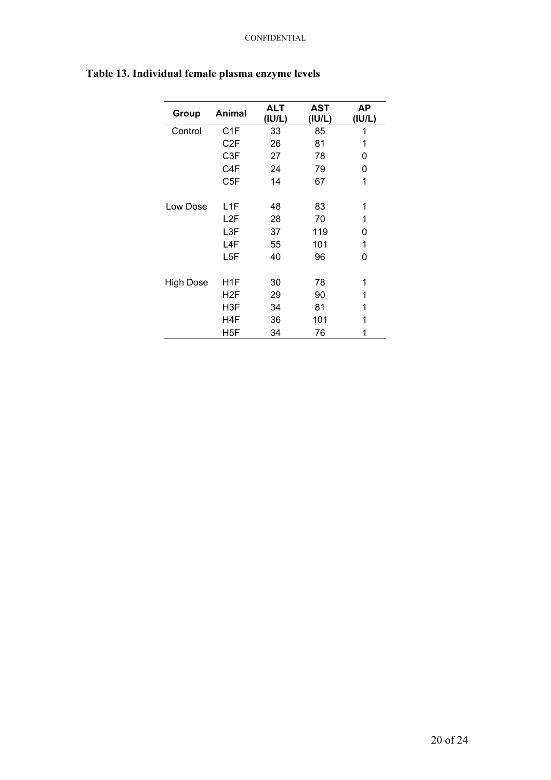| Group     | <b>Animal</b>    | <b>ALT</b><br>(IU/L) | AST<br>(IU/L) | ΑP<br>(IU/L) |
|-----------|------------------|----------------------|---------------|--------------|
| Control   | C <sub>1</sub> F | 33                   | 85            | 1            |
|           | C <sub>2</sub> F | 26                   | 81            | 1            |
|           | C <sub>3</sub> F | 27                   | 78            | 0            |
|           | C <sub>4</sub> F | 24                   | 79            | 0            |
|           | C <sub>5</sub> F | 14                   | 67            | 1            |
| Low Dose  | L <sub>1</sub> F | 48                   | 83            | 1            |
|           | L2F              | 28                   | 70            | 1            |
|           | L3F              | 37                   | 119           | 0            |
|           | L4F              | 55                   | 101           | 1            |
|           | L5F              | 40                   | 96            | 0            |
| High Dose | H1F              | 30                   | 78            | 1            |
|           | H <sub>2</sub> F | 29                   | 90            | 1            |
|           | H3F              | 34                   | 81            | 1            |
|           | H4F              | 36                   | 101           | 1            |
|           | H5F              | 34                   | 76            | 1            |

## <span id="page-19-0"></span>**Table 13. Individual female plasma enzyme levels**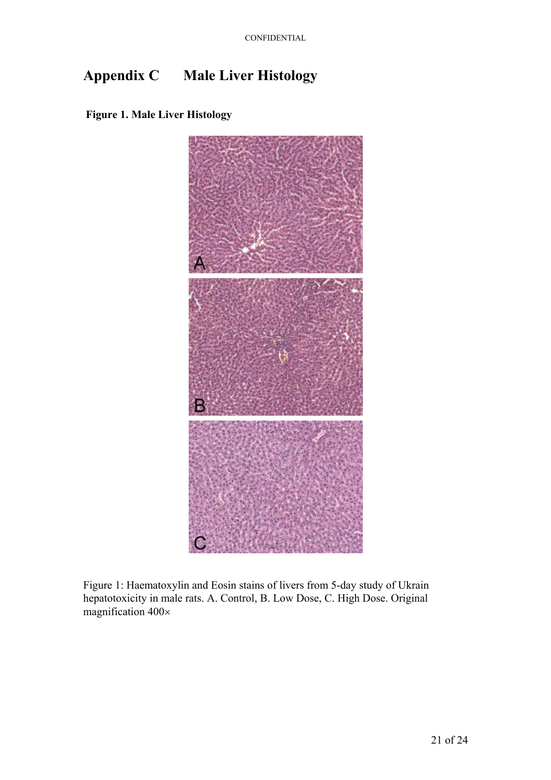# <span id="page-20-0"></span>**Appendix C Male Liver Histology**





Figure 1: Haematoxylin and Eosin stains of livers from 5-day study of Ukrain hepatotoxicity in male rats. A. Control, B. Low Dose, C. High Dose. Original magnification 400×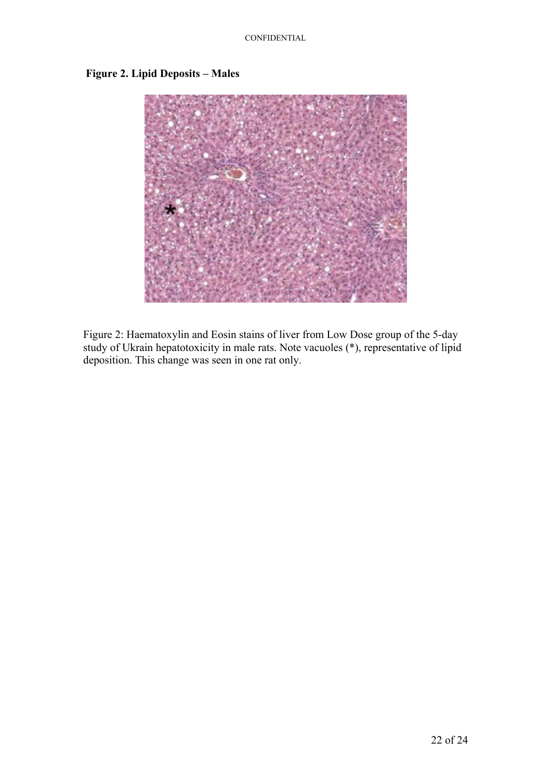

#### <span id="page-21-0"></span>**Figure 2. Lipid Deposits – Males**

Figure 2: Haematoxylin and Eosin stains of liver from Low Dose group of the 5-day study of Ukrain hepatotoxicity in male rats. Note vacuoles (\*), representative of lipid deposition. This change was seen in one rat only.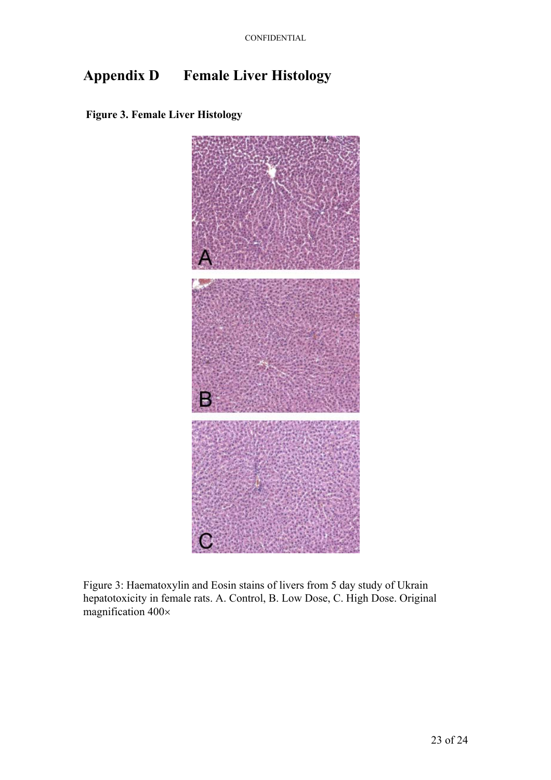# <span id="page-22-0"></span>**Appendix D Female Liver Histology**





Figure 3: Haematoxylin and Eosin stains of livers from 5 day study of Ukrain hepatotoxicity in female rats. A. Control, B. Low Dose, C. High Dose. Original magnification 400×